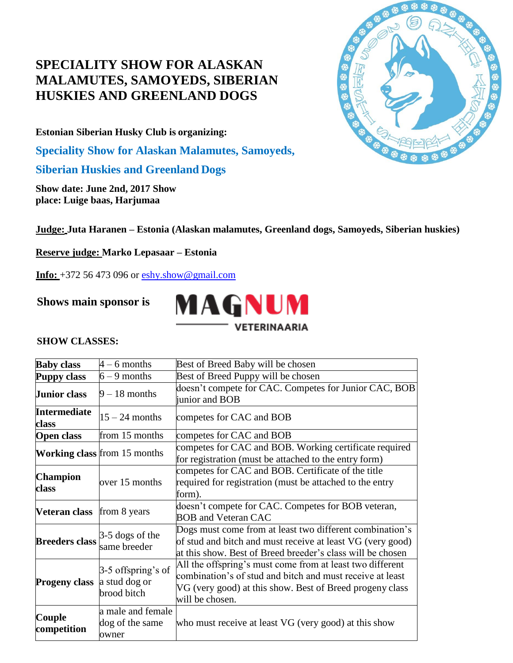# **SPECIALITY SHOW FOR ALASKAN MALAMUTES, SAMOYEDS, SIBERIAN HUSKIES AND GREENLAND DOGS**

**Estonian [Siberian Husky C](http://sleddogs.org.ee/etkk/index.php)lub is organizing:**

**Speciality Show for Alaskan Malamutes, Samoyeds,**

**Siberian Huskies and Greenland Dogs**

**Show date: June 2nd, 2017 Show place: Luige baas, Harjumaa**

**Judge: Juta Haranen – Estonia (Alaskan malamutes, Greenland dogs, Samoyeds, Siberian huskies)**

**Reserve judge: Marko Lepasaar – Estonia**

 **Info:** +372 56 473 096 or [eshy.show@gmail.com](mailto:eshy.show@gmail.com)

**Shows main sponsor is**



# **SHOW CLASSES:**

| <b>Baby class</b>            | $4 - 6$ months                                     | Best of Breed Baby will be chosen                                                                                                                                                                     |  |  |
|------------------------------|----------------------------------------------------|-------------------------------------------------------------------------------------------------------------------------------------------------------------------------------------------------------|--|--|
| <b>Puppy class</b>           | $6 - 9$ months                                     | Best of Breed Puppy will be chosen                                                                                                                                                                    |  |  |
| <b>Junior class</b>          | $9 - 18$ months                                    | doesn't compete for CAC. Competes for Junior CAC, BOB<br>junior and BOB                                                                                                                               |  |  |
| <b>Intermediate</b><br>class | $15 - 24$ months                                   | competes for CAC and BOB                                                                                                                                                                              |  |  |
| <b>Open class</b>            | from 15 months                                     | competes for CAC and BOB                                                                                                                                                                              |  |  |
|                              | <b>Working class</b> from 15 months                | competes for CAC and BOB. Working certificate required<br>for registration (must be attached to the entry form)                                                                                       |  |  |
| <b>Champion</b><br>class     | over 15 months                                     | competes for CAC and BOB. Certificate of the title<br>required for registration (must be attached to the entry<br>form).                                                                              |  |  |
| Veteran class                | from 8 years                                       | doesn't compete for CAC. Competes for BOB veteran,<br><b>BOB</b> and Veteran CAC                                                                                                                      |  |  |
| <b>Breeders class</b>        | $3-5$ dogs of the<br>same breeder                  | Dogs must come from at least two different combination's<br>of stud and bitch and must receive at least VG (very good)<br>at this show. Best of Breed breeder's class will be chosen                  |  |  |
| <b>Progeny class</b>         | 3-5 offspring's of<br>a stud dog or<br>brood bitch | All the offspring's must come from at least two different<br>combination's of stud and bitch and must receive at least<br>VG (very good) at this show. Best of Breed progeny class<br>will be chosen. |  |  |
| Couple<br>competition        | a male and female<br>dog of the same<br>owner      | who must receive at least VG (very good) at this show                                                                                                                                                 |  |  |